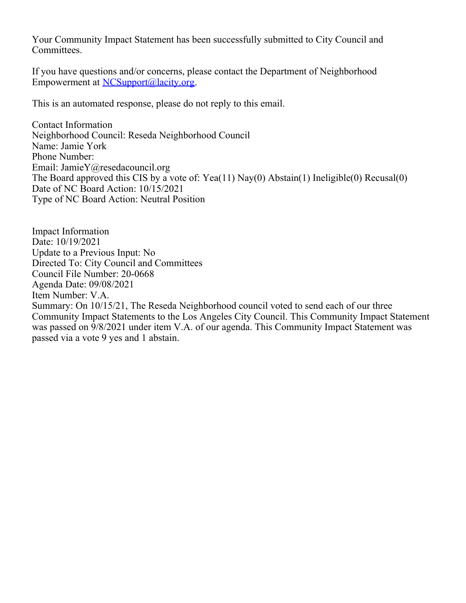Your Community Impact Statement has been successfully submitted to City Council and Committees.

If you have questions and/or concerns, please contact the Department of Neighborhood Empowerment at [NCSupport@lacity.org](mailto:NCSupport@lacity.org).

This is an automated response, please do not reply to this email.

Contact Information Neighborhood Council: Reseda Neighborhood Council Name: Jamie York Phone Number: Email: JamieY@resedacouncil.org The Board approved this CIS by a vote of: Yea(11) Nay(0) Abstain(1) Ineligible(0) Recusal(0) Date of NC Board Action: 10/15/2021 Type of NC Board Action: Neutral Position

Impact Information Date: 10/19/2021 Update to a Previous Input: No Directed To: City Council and Committees Council File Number: 20-0668 Agenda Date: 09/08/2021 Item Number: V.A. Summary: On 10/15/21, The Reseda Neighborhood council voted to send each of our three Community Impact Statements to the Los Angeles City Council. This Community Impact Statement was passed on 9/8/2021 under item V.A. of our agenda. This Community Impact Statement was passed via a vote 9 yes and 1 abstain.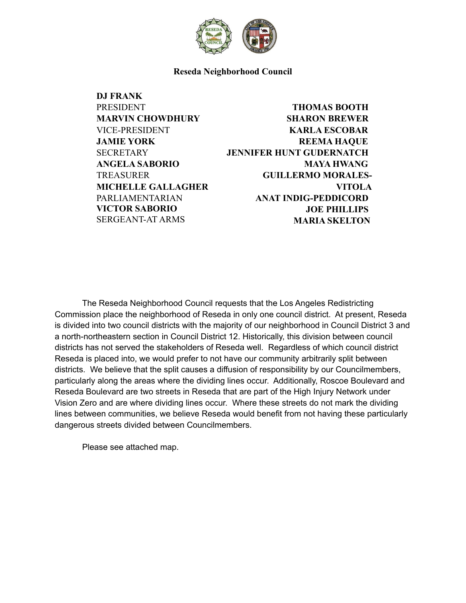

**Reseda Neighborhood Council**

**DJ FRANK PRESIDENT MARVIN CHOWDHURY** VICE-PRESIDENT **JAMIE YORK SECRETARY ANGELA SABORIO TREASURER MICHELLE GALLAGHER** PARLIAMENTARIAN **VICTOR SABORIO** SERGEANT-AT ARMS

## **THOMAS BOOTH SHARON BREWER KARLA ESCOBAR REEMA HAQUE JENNIFER HUNT GUDERNATCH MAYA HWANG GUILLERMO MORALES-VITOLA ANAT INDIG-PEDDICORD JOE PHILLIPS MARIA SKELTON**

The Reseda Neighborhood Council requests that the Los Angeles Redistricting Commission place the neighborhood of Reseda in only one council district. At present, Reseda is divided into two council districts with the majority of our neighborhood in Council District 3 and a north-northeastern section in Council District 12. Historically, this division between council districts has not served the stakeholders of Reseda well. Regardless of which council district Reseda is placed into, we would prefer to not have our community arbitrarily split between districts. We believe that the split causes a diffusion of responsibility by our Councilmembers, particularly along the areas where the dividing lines occur. Additionally, Roscoe Boulevard and Reseda Boulevard are two streets in Reseda that are part of the High Injury Network under Vision Zero and are where dividing lines occur. Where these streets do not mark the dividing lines between communities, we believe Reseda would benefit from not having these particularly dangerous streets divided between Councilmembers.

Please see attached map.